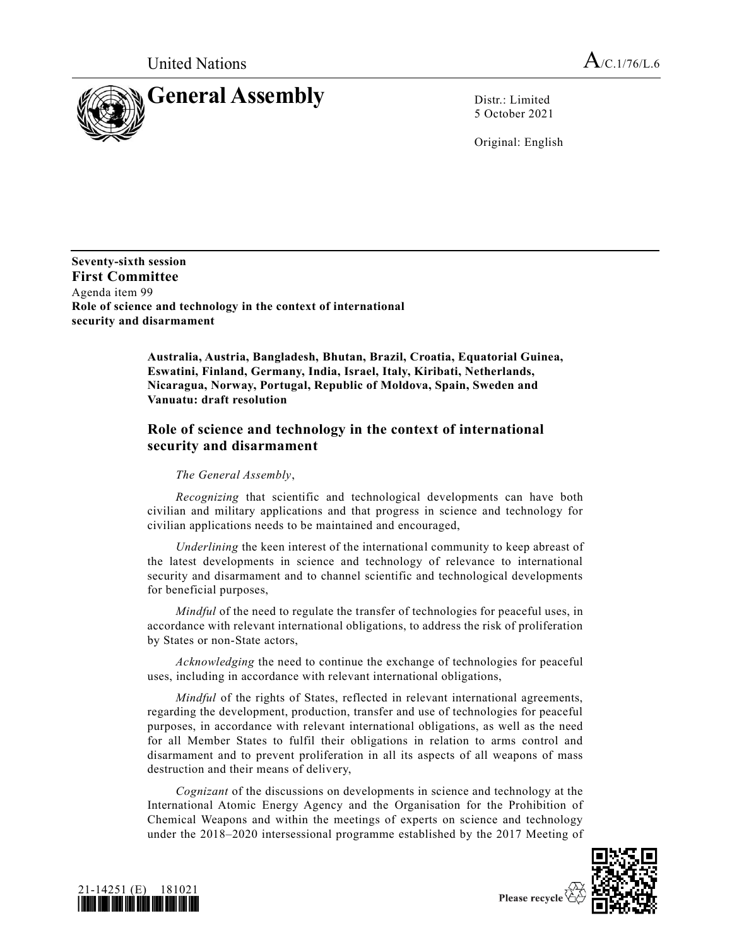

5 October 2021

Original: English

**Seventy-sixth session First Committee** Agenda item 99 **Role of science and technology in the context of international security and disarmament**

> **Australia, Austria, Bangladesh, Bhutan, Brazil, Croatia, Equatorial Guinea, Eswatini, Finland, Germany, India, Israel, Italy, Kiribati, Netherlands, Nicaragua, Norway, Portugal, Republic of Moldova, Spain, Sweden and Vanuatu: draft resolution**

## **Role of science and technology in the context of international security and disarmament**

## *The General Assembly*,

*Recognizing* that scientific and technological developments can have both civilian and military applications and that progress in science and technology for civilian applications needs to be maintained and encouraged,

*Underlining* the keen interest of the international community to keep abreast of the latest developments in science and technology of relevance to international security and disarmament and to channel scientific and technological developments for beneficial purposes,

*Mindful* of the need to regulate the transfer of technologies for peaceful uses, in accordance with relevant international obligations, to address the risk of proliferation by States or non-State actors,

*Acknowledging* the need to continue the exchange of technologies for peaceful uses, including in accordance with relevant international obligations,

*Mindful* of the rights of States, reflected in relevant international agreements, regarding the development, production, transfer and use of technologies for peaceful purposes, in accordance with relevant international obligations, as well as the need for all Member States to fulfil their obligations in relation to arms control and disarmament and to prevent proliferation in all its aspects of all weapons of mass destruction and their means of delivery,

*Cognizant* of the discussions on developments in science and technology at the International Atomic Energy Agency and the Organisation for the Prohibition of Chemical Weapons and within the meetings of experts on science and technology under the 2018–2020 intersessional programme established by the 2017 Meeting of





Please recycle  $\Diamond$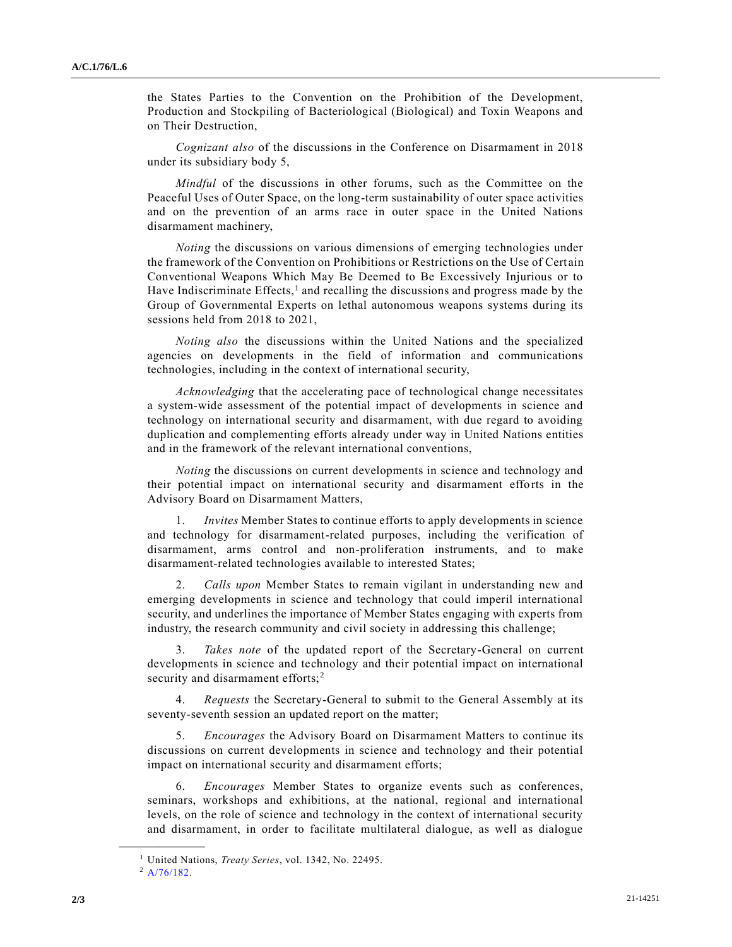the States Parties to the Convention on the Prohibition of the Development, Production and Stockpiling of Bacteriological (Biological) and Toxin Weapons and on Their Destruction,

*Cognizant also* of the discussions in the Conference on Disarmament in 2018 under its subsidiary body 5,

*Mindful* of the discussions in other forums, such as the Committee on the Peaceful Uses of Outer Space, on the long-term sustainability of outer space activities and on the prevention of an arms race in outer space in the United Nations disarmament machinery,

*Noting* the discussions on various dimensions of emerging technologies under the framework of the Convention on Prohibitions or Restrictions on the Use of Certain Conventional Weapons Which May Be Deemed to Be Excessively Injurious or to Have Indiscriminate Effects,<sup>1</sup> and recalling the discussions and progress made by the Group of Governmental Experts on lethal autonomous weapons systems during its sessions held from 2018 to 2021,

*Noting also* the discussions within the United Nations and the specialized agencies on developments in the field of information and communications technologies, including in the context of international security,

*Acknowledging* that the accelerating pace of technological change necessitates a system-wide assessment of the potential impact of developments in science and technology on international security and disarmament, with due regard to avoiding duplication and complementing efforts already under way in United Nations entities and in the framework of the relevant international conventions,

*Noting* the discussions on current developments in science and technology and their potential impact on international security and disarmament efforts in the Advisory Board on Disarmament Matters,

*Invites* Member States to continue efforts to apply developments in science and technology for disarmament-related purposes, including the verification of disarmament, arms control and non-proliferation instruments, and to make disarmament-related technologies available to interested States;

2. *Calls upon* Member States to remain vigilant in understanding new and emerging developments in science and technology that could imperil international security, and underlines the importance of Member States engaging with experts from industry, the research community and civil society in addressing this challenge;

Takes note of the updated report of the Secretary-General on current developments in science and technology and their potential impact on international security and disarmament efforts;<sup>2</sup>

4. *Requests* the Secretary-General to submit to the General Assembly at its seventy-seventh session an updated report on the matter;

5. *Encourages* the Advisory Board on Disarmament Matters to continue its discussions on current developments in science and technology and their potential impact on international security and disarmament efforts;

6. *Encourages* Member States to organize events such as conferences, seminars, workshops and exhibitions, at the national, regional and international levels, on the role of science and technology in the context of international security and disarmament, in order to facilitate multilateral dialogue, as well as dialogue

**\_\_\_\_\_\_\_\_\_\_\_\_\_\_\_\_\_\_**

<sup>1</sup> United Nations, *Treaty Series*, vol. 1342, No. 22495.

 $^2$  [A/76/182.](https://undocs.org/en/A/76/182)